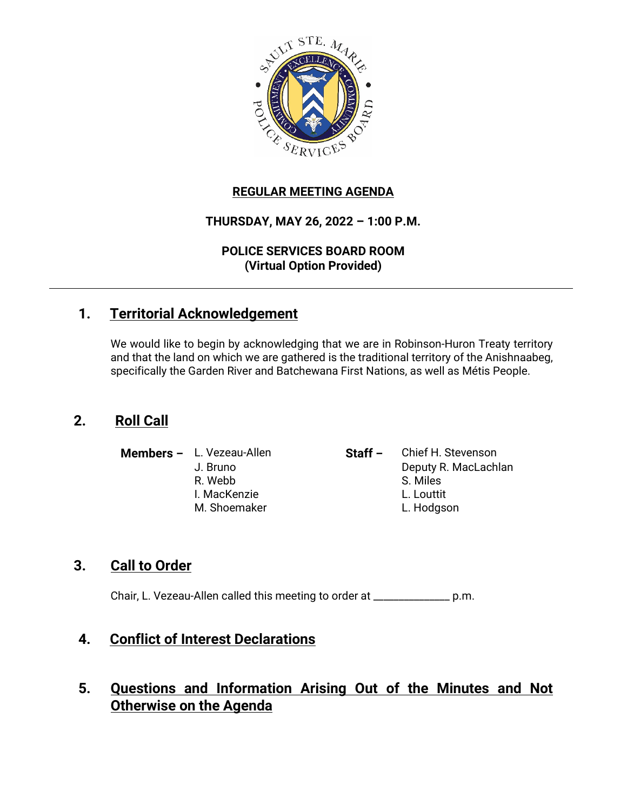

## **REGULAR MEETING AGENDA**

## **THURSDAY, MAY 26, 2022 – 1:00 P.M.**

#### **POLICE SERVICES BOARD ROOM (Virtual Option Provided)**

# **1. Territorial Acknowledgement**

We would like to begin by acknowledging that we are in Robinson-Huron Treaty territory and that the land on which we are gathered is the traditional territory of the Anishnaabeg, specifically the Garden River and Batchewana First Nations, as well as Métis People.

# **2. Roll Call**

**Members –** L. Vezeau-Allen **Staff –** Chief H. Stevenson J. Bruno Deputy R. MacLachlan R. Webb S. Miles I. MacKenzie L. Louttit M. Shoemaker L. Hodgson

## **3. Call to Order**

Chair, L. Vezeau-Allen called this meeting to order at \_\_\_\_\_\_\_\_\_\_\_\_\_\_\_ p.m.

# **4. Conflict of Interest Declarations**

# **5. Questions and Information Arising Out of the Minutes and Not Otherwise on the Agenda**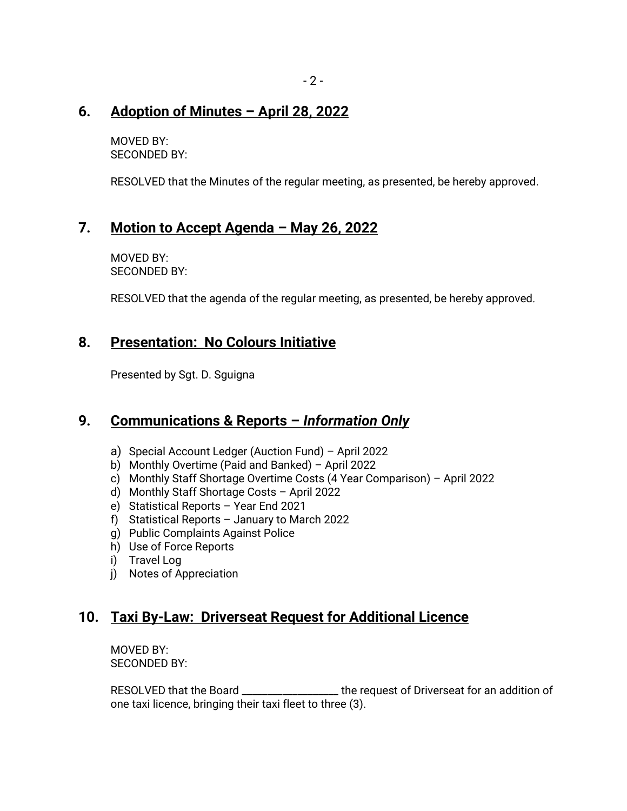# **6. Adoption of Minutes – April 28, 2022**

MOVED BY: SECONDED BY:

RESOLVED that the Minutes of the regular meeting, as presented, be hereby approved.

# **7. Motion to Accept Agenda – May 26, 2022**

MOVED BY: SECONDED BY:

RESOLVED that the agenda of the regular meeting, as presented, be hereby approved.

# **8. Presentation: No Colours Initiative**

Presented by Sgt. D. Sguigna

## **9. Communications & Reports –** *Information Only*

- a) Special Account Ledger (Auction Fund) April 2022
- b) Monthly Overtime (Paid and Banked) April 2022
- c) Monthly Staff Shortage Overtime Costs (4 Year Comparison) April 2022
- d) Monthly Staff Shortage Costs April 2022
- e) Statistical Reports Year End 2021
- f) Statistical Reports January to March 2022
- g) Public Complaints Against Police
- h) Use of Force Reports
- i) Travel Log
- j) Notes of Appreciation

# **10. Taxi By-Law: Driverseat Request for Additional Licence**

MOVED BY: SECONDED BY:

RESOLVED that the Board \_\_\_\_\_\_\_\_\_\_\_\_\_\_\_\_\_\_\_ the request of Driverseat for an addition of one taxi licence, bringing their taxi fleet to three (3).